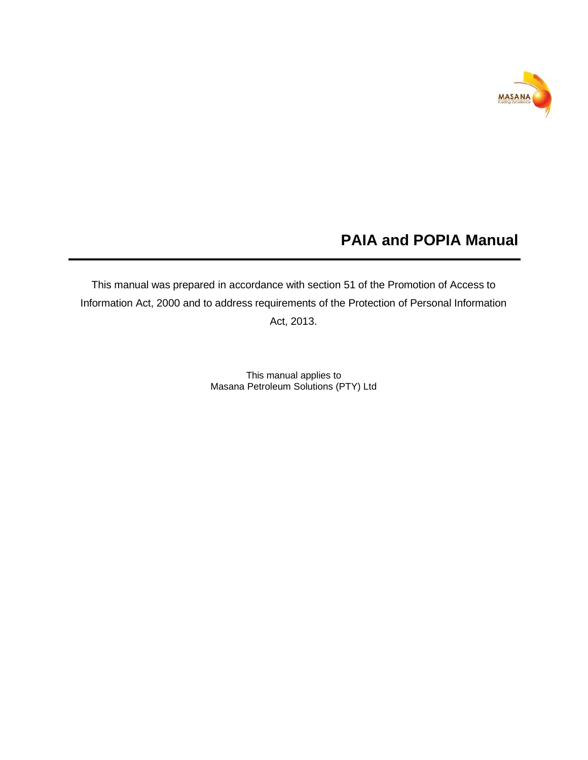

# **PAIA and POPIA Manual**

This manual was prepared in accordance with section 51 of the Promotion of Access to Information Act, 2000 and to address requirements of the Protection of Personal Information Act, 2013.

> This manual applies to Masana Petroleum Solutions (PTY) Ltd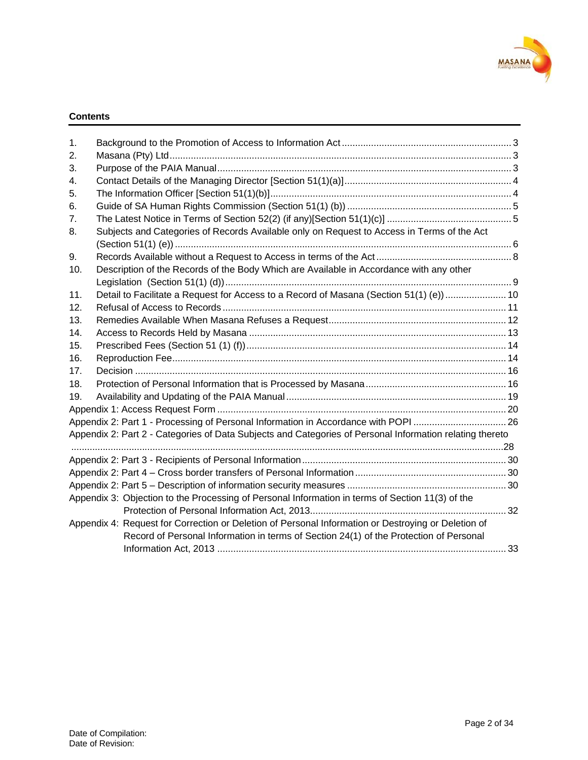

#### **Contents**

| 1.  |                                                                                                          |  |
|-----|----------------------------------------------------------------------------------------------------------|--|
| 2.  |                                                                                                          |  |
| 3.  |                                                                                                          |  |
| 4.  |                                                                                                          |  |
| 5.  |                                                                                                          |  |
| 6.  |                                                                                                          |  |
| 7.  |                                                                                                          |  |
| 8.  | Subjects and Categories of Records Available only on Request to Access in Terms of the Act               |  |
|     |                                                                                                          |  |
| 9.  |                                                                                                          |  |
| 10. | Description of the Records of the Body Which are Available in Accordance with any other                  |  |
|     |                                                                                                          |  |
| 11. | Detail to Facilitate a Request for Access to a Record of Masana (Section 51(1) (e))  10                  |  |
| 12. |                                                                                                          |  |
| 13. |                                                                                                          |  |
| 14. |                                                                                                          |  |
| 15. |                                                                                                          |  |
| 16. |                                                                                                          |  |
| 17. |                                                                                                          |  |
| 18. |                                                                                                          |  |
| 19. |                                                                                                          |  |
|     |                                                                                                          |  |
|     | Appendix 2: Part 1 - Processing of Personal Information in Accordance with POPI 26                       |  |
|     | Appendix 2: Part 2 - Categories of Data Subjects and Categories of Personal Information relating thereto |  |
|     |                                                                                                          |  |
|     |                                                                                                          |  |
|     |                                                                                                          |  |
|     |                                                                                                          |  |
|     | Appendix 3: Objection to the Processing of Personal Information in terms of Section 11(3) of the         |  |
|     |                                                                                                          |  |
|     | Appendix 4: Request for Correction or Deletion of Personal Information or Destroying or Deletion of      |  |
|     | Record of Personal Information in terms of Section 24(1) of the Protection of Personal                   |  |
|     |                                                                                                          |  |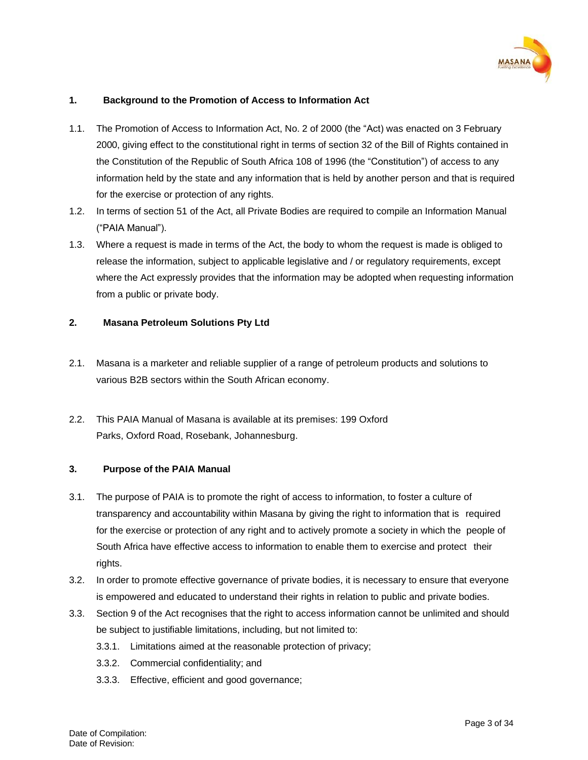

# <span id="page-2-0"></span>**1. Background to the Promotion of Access to Information Act**

- 1.1. The Promotion of Access to Information Act, No. 2 of 2000 (the "Act) was enacted on 3 February 2000, giving effect to the constitutional right in terms of section 32 of the Bill of Rights contained in the Constitution of the Republic of South Africa 108 of 1996 (the "Constitution") of access to any information held by the state and any information that is held by another person and that is required for the exercise or protection of any rights.
- 1.2. In terms of section 51 of the Act, all Private Bodies are required to compile an Information Manual ("PAIA Manual").
- 1.3. Where a request is made in terms of the Act, the body to whom the request is made is obliged to release the information, subject to applicable legislative and / or regulatory requirements, except where the Act expressly provides that the information may be adopted when requesting information from a public or private body.

#### <span id="page-2-1"></span>**2. Masana Petroleum Solutions Pty Ltd**

- 2.1. Masana is a marketer and reliable supplier of a range of petroleum products and solutions to various B2B sectors within the South African economy.
- 2.2. This PAIA Manual of Masana is available at its premises: 199 Oxford Parks, Oxford Road, Rosebank, Johannesburg.

#### <span id="page-2-2"></span>**3. Purpose of the PAIA Manual**

- 3.1. The purpose of PAIA is to promote the right of access to information, to foster a culture of transparency and accountability within Masana by giving the right to information that is required for the exercise or protection of any right and to actively promote a society in which the people of South Africa have effective access to information to enable them to exercise and protect their rights.
- 3.2. In order to promote effective governance of private bodies, it is necessary to ensure that everyone is empowered and educated to understand their rights in relation to public and private bodies.
- 3.3. Section 9 of the Act recognises that the right to access information cannot be unlimited and should be subject to justifiable limitations, including, but not limited to:
	- 3.3.1. Limitations aimed at the reasonable protection of privacy;
	- 3.3.2. Commercial confidentiality; and
	- 3.3.3. Effective, efficient and good governance;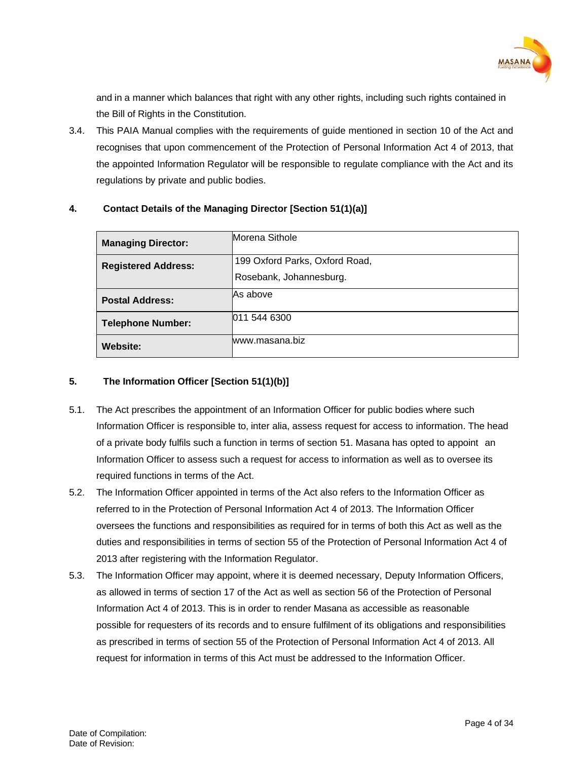

and in a manner which balances that right with any other rights, including such rights contained in the Bill of Rights in the Constitution.

3.4. This PAIA Manual complies with the requirements of guide mentioned in section 10 of the Act and recognises that upon commencement of the Protection of Personal Information Act 4 of 2013, that the appointed Information Regulator will be responsible to regulate compliance with the Act and its regulations by private and public bodies.

| Morena Sithole<br><b>Managing Director:</b> |                                |  |  |  |  |  |
|---------------------------------------------|--------------------------------|--|--|--|--|--|
| <b>Registered Address:</b>                  | 199 Oxford Parks, Oxford Road, |  |  |  |  |  |
|                                             | Rosebank, Johannesburg.        |  |  |  |  |  |
| <b>Postal Address:</b>                      | <b>As above</b>                |  |  |  |  |  |
| <b>Telephone Number:</b>                    | 1011 544 6300                  |  |  |  |  |  |
| <b>Website:</b>                             | lwww.masana.biz                |  |  |  |  |  |

# <span id="page-3-0"></span>**4. Contact Details of the Managing Director [Section 51(1)(a)]**

# <span id="page-3-1"></span>**5. The Information Officer [Section 51(1)(b)]**

- 5.1. The Act prescribes the appointment of an Information Officer for public bodies where such Information Officer is responsible to, inter alia, assess request for access to information. The head of a private body fulfils such a function in terms of section 51. Masana has opted to appoint an Information Officer to assess such a request for access to information as well as to oversee its required functions in terms of the Act.
- 5.2. The Information Officer appointed in terms of the Act also refers to the Information Officer as referred to in the Protection of Personal Information Act 4 of 2013. The Information Officer oversees the functions and responsibilities as required for in terms of both this Act as well as the duties and responsibilities in terms of section 55 of the Protection of Personal Information Act 4 of 2013 after registering with the Information Regulator.
- 5.3. The Information Officer may appoint, where it is deemed necessary, Deputy Information Officers, as allowed in terms of section 17 of the Act as well as section 56 of the Protection of Personal Information Act 4 of 2013. This is in order to render Masana as accessible as reasonable possible for requesters of its records and to ensure fulfilment of its obligations and responsibilities as prescribed in terms of section 55 of the Protection of Personal Information Act 4 of 2013. All request for information in terms of this Act must be addressed to the Information Officer.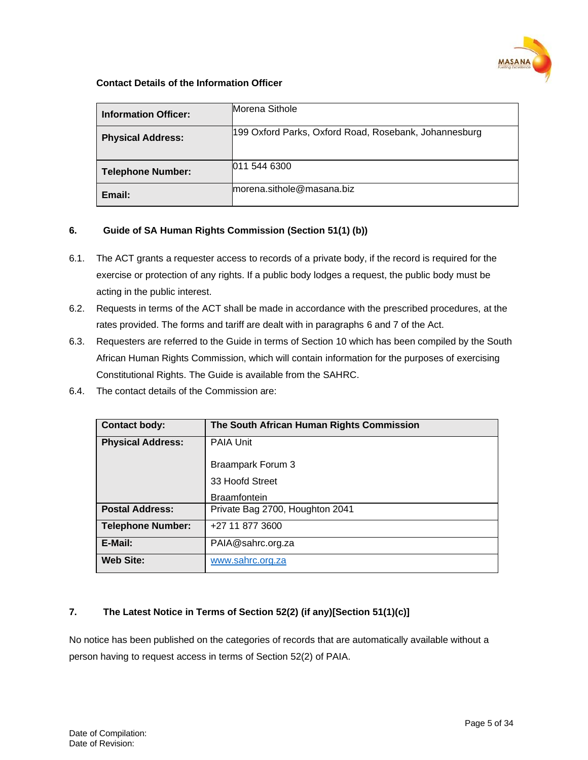

#### **Contact Details of the Information Officer**

| <b>Information Officer:</b> | Morena Sithole                                        |
|-----------------------------|-------------------------------------------------------|
| <b>Physical Address:</b>    | 199 Oxford Parks, Oxford Road, Rosebank, Johannesburg |
| <b>Telephone Number:</b>    | 011 544 6300                                          |
| Email:                      | morena.sithole@masana.biz                             |

# <span id="page-4-0"></span>**6. Guide of SA Human Rights Commission (Section 51(1) (b))**

- 6.1. The ACT grants a requester access to records of a private body, if the record is required for the exercise or protection of any rights. If a public body lodges a request, the public body must be acting in the public interest.
- 6.2. Requests in terms of the ACT shall be made in accordance with the prescribed procedures, at the rates provided. The forms and tariff are dealt with in paragraphs 6 and 7 of the Act.
- 6.3. Requesters are referred to the Guide in terms of Section 10 which has been compiled by the South African Human Rights Commission, which will contain information for the purposes of exercising Constitutional Rights. The Guide is available from the SAHRC.
- 6.4. The contact details of the Commission are:

| <b>Contact body:</b>     | The South African Human Rights Commission |
|--------------------------|-------------------------------------------|
| <b>Physical Address:</b> | PAIA Unit                                 |
|                          | Braampark Forum 3                         |
|                          | 33 Hoofd Street                           |
|                          | <b>Braamfontein</b>                       |
| <b>Postal Address:</b>   | Private Bag 2700, Houghton 2041           |
| <b>Telephone Number:</b> | +27 11 877 3600                           |
| E-Mail:                  | PAIA@sahrc.org.za                         |
| <b>Web Site:</b>         | www.sahrc.org.za                          |

# <span id="page-4-1"></span>**7. The Latest Notice in Terms of Section 52(2) (if any)[Section 51(1)(c)]**

No notice has been published on the categories of records that are automatically available without a person having to request access in terms of Section 52(2) of PAIA.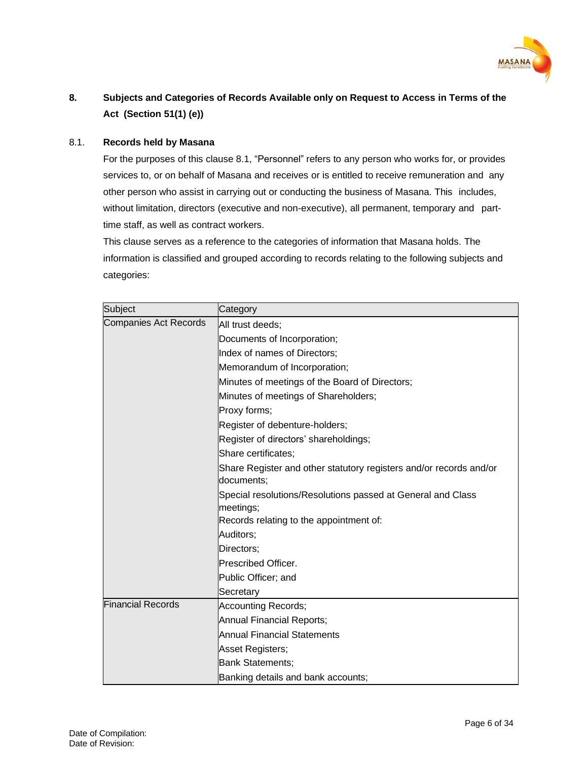

# <span id="page-5-0"></span>**8. Subjects and Categories of Records Available only on Request to Access in Terms of the Act (Section 51(1) (e))**

# 8.1. **Records held by Masana**

For the purposes of this clause 8.1, "Personnel" refers to any person who works for, or provides services to, or on behalf of Masana and receives or is entitled to receive remuneration and any other person who assist in carrying out or conducting the business of Masana. This includes, without limitation, directors (executive and non-executive), all permanent, temporary and parttime staff, as well as contract workers.

This clause serves as a reference to the categories of information that Masana holds. The information is classified and grouped according to records relating to the following subjects and categories:

| Subject                      | Category                                                                         |  |  |  |  |  |  |  |  |
|------------------------------|----------------------------------------------------------------------------------|--|--|--|--|--|--|--|--|
| <b>Companies Act Records</b> | All trust deeds;                                                                 |  |  |  |  |  |  |  |  |
|                              | Documents of Incorporation;                                                      |  |  |  |  |  |  |  |  |
|                              | Index of names of Directors;                                                     |  |  |  |  |  |  |  |  |
|                              | Memorandum of Incorporation;                                                     |  |  |  |  |  |  |  |  |
|                              | Minutes of meetings of the Board of Directors;                                   |  |  |  |  |  |  |  |  |
|                              | Minutes of meetings of Shareholders;                                             |  |  |  |  |  |  |  |  |
|                              | Proxy forms;                                                                     |  |  |  |  |  |  |  |  |
|                              | Register of debenture-holders;                                                   |  |  |  |  |  |  |  |  |
|                              | Register of directors' shareholdings;                                            |  |  |  |  |  |  |  |  |
|                              | Share certificates;                                                              |  |  |  |  |  |  |  |  |
|                              | Share Register and other statutory registers and/or records and/or<br>documents; |  |  |  |  |  |  |  |  |
|                              | Special resolutions/Resolutions passed at General and Class                      |  |  |  |  |  |  |  |  |
|                              | meetings;                                                                        |  |  |  |  |  |  |  |  |
|                              | Records relating to the appointment of:                                          |  |  |  |  |  |  |  |  |
|                              | Auditors;                                                                        |  |  |  |  |  |  |  |  |
|                              | Directors;                                                                       |  |  |  |  |  |  |  |  |
|                              | <b>Prescribed Officer.</b>                                                       |  |  |  |  |  |  |  |  |
|                              | Public Officer; and                                                              |  |  |  |  |  |  |  |  |
|                              | Secretary                                                                        |  |  |  |  |  |  |  |  |
| <b>Financial Records</b>     | Accounting Records;                                                              |  |  |  |  |  |  |  |  |
|                              | Annual Financial Reports;                                                        |  |  |  |  |  |  |  |  |
|                              | Annual Financial Statements                                                      |  |  |  |  |  |  |  |  |
|                              | Asset Registers;                                                                 |  |  |  |  |  |  |  |  |
|                              | Bank Statements;                                                                 |  |  |  |  |  |  |  |  |
|                              | Banking details and bank accounts;                                               |  |  |  |  |  |  |  |  |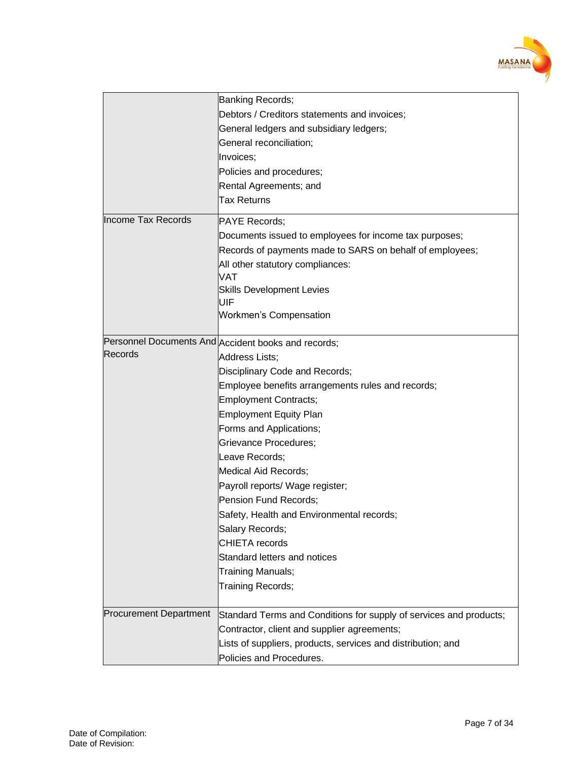

|                               | Banking Records;                                                   |
|-------------------------------|--------------------------------------------------------------------|
|                               | Debtors / Creditors statements and invoices;                       |
|                               | General ledgers and subsidiary ledgers;                            |
|                               | General reconciliation;                                            |
|                               | Invoices;                                                          |
|                               | Policies and procedures;                                           |
|                               | Rental Agreements; and                                             |
|                               | <b>Tax Returns</b>                                                 |
| Income Tax Records            | <b>PAYE Records:</b>                                               |
|                               | Documents issued to employees for income tax purposes;             |
|                               | Records of payments made to SARS on behalf of employees;           |
|                               | All other statutory compliances:                                   |
|                               | VAT                                                                |
|                               | <b>Skills Development Levies</b>                                   |
|                               | UIF                                                                |
|                               | <b>Workmen's Compensation</b>                                      |
|                               |                                                                    |
| Records                       | Personnel Documents And Accident books and records;                |
|                               | <b>Address Lists:</b>                                              |
|                               | Disciplinary Code and Records;                                     |
|                               | Employee benefits arrangements rules and records;                  |
|                               | Employment Contracts;                                              |
|                               | <b>Employment Equity Plan</b>                                      |
|                               | Forms and Applications;                                            |
|                               | Grievance Procedures;                                              |
|                               | Leave Records;                                                     |
|                               | Medical Aid Records;                                               |
|                               | Payroll reports/ Wage register;                                    |
|                               | Pension Fund Records;                                              |
|                               | Safety, Health and Environmental records;                          |
|                               | Salary Records;                                                    |
|                               | <b>CHIETA</b> records                                              |
|                               | Standard letters and notices                                       |
|                               | Training Manuals;                                                  |
|                               | Training Records;                                                  |
|                               |                                                                    |
| <b>Procurement Department</b> | Standard Terms and Conditions for supply of services and products; |
|                               | Contractor, client and supplier agreements;                        |
|                               | Lists of suppliers, products, services and distribution; and       |
|                               | Policies and Procedures.                                           |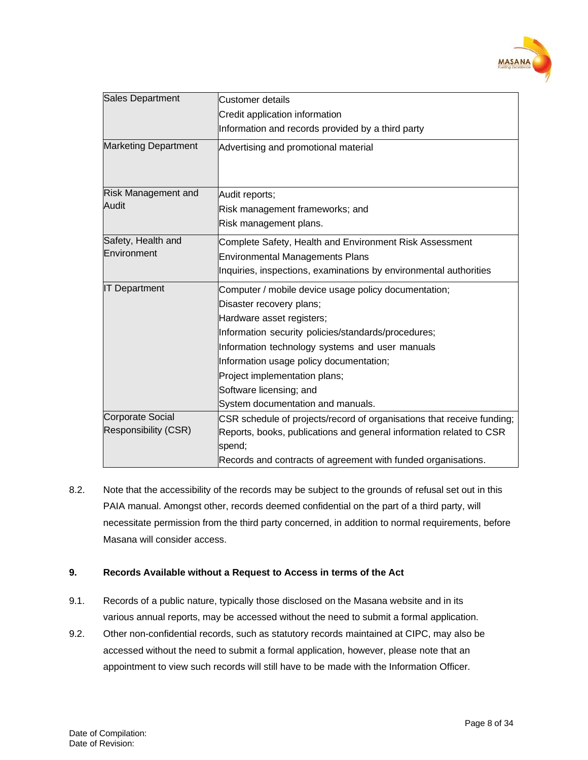

| <b>Sales Department</b>     | <b>Customer details</b>                                                |  |  |  |  |  |  |  |
|-----------------------------|------------------------------------------------------------------------|--|--|--|--|--|--|--|
|                             | Credit application information                                         |  |  |  |  |  |  |  |
|                             | Information and records provided by a third party                      |  |  |  |  |  |  |  |
| <b>Marketing Department</b> | Advertising and promotional material                                   |  |  |  |  |  |  |  |
| <b>Risk Management and</b>  | Audit reports;                                                         |  |  |  |  |  |  |  |
| Audit                       | Risk management frameworks; and                                        |  |  |  |  |  |  |  |
|                             | Risk management plans.                                                 |  |  |  |  |  |  |  |
| Safety, Health and          | Complete Safety, Health and Environment Risk Assessment                |  |  |  |  |  |  |  |
| Environment                 | <b>Environmental Managements Plans</b>                                 |  |  |  |  |  |  |  |
|                             | Inquiries, inspections, examinations by environmental authorities      |  |  |  |  |  |  |  |
| <b>IT Department</b>        | Computer / mobile device usage policy documentation;                   |  |  |  |  |  |  |  |
|                             | Disaster recovery plans;                                               |  |  |  |  |  |  |  |
|                             | Hardware asset registers;                                              |  |  |  |  |  |  |  |
|                             | Information security policies/standards/procedures;                    |  |  |  |  |  |  |  |
|                             | Information technology systems and user manuals                        |  |  |  |  |  |  |  |
|                             | Information usage policy documentation;                                |  |  |  |  |  |  |  |
|                             | Project implementation plans;                                          |  |  |  |  |  |  |  |
|                             | Software licensing; and                                                |  |  |  |  |  |  |  |
|                             | System documentation and manuals.                                      |  |  |  |  |  |  |  |
| <b>Corporate Social</b>     | CSR schedule of projects/record of organisations that receive funding; |  |  |  |  |  |  |  |
| Responsibility (CSR)        | Reports, books, publications and general information related to CSR    |  |  |  |  |  |  |  |
|                             | spend;                                                                 |  |  |  |  |  |  |  |
|                             | Records and contracts of agreement with funded organisations.          |  |  |  |  |  |  |  |

8.2. Note that the accessibility of the records may be subject to the grounds of refusal set out in this PAIA manual. Amongst other, records deemed confidential on the part of a third party, will necessitate permission from the third party concerned, in addition to normal requirements, before Masana will consider access.

# <span id="page-7-0"></span>**9. Records Available without a Request to Access in terms of the Act**

- 9.1. Records of a public nature, typically those disclosed on the Masana website and in its various annual reports, may be accessed without the need to submit a formal application.
- 9.2. Other non-confidential records, such as statutory records maintained at CIPC, may also be accessed without the need to submit a formal application, however, please note that an appointment to view such records will still have to be made with the Information Officer.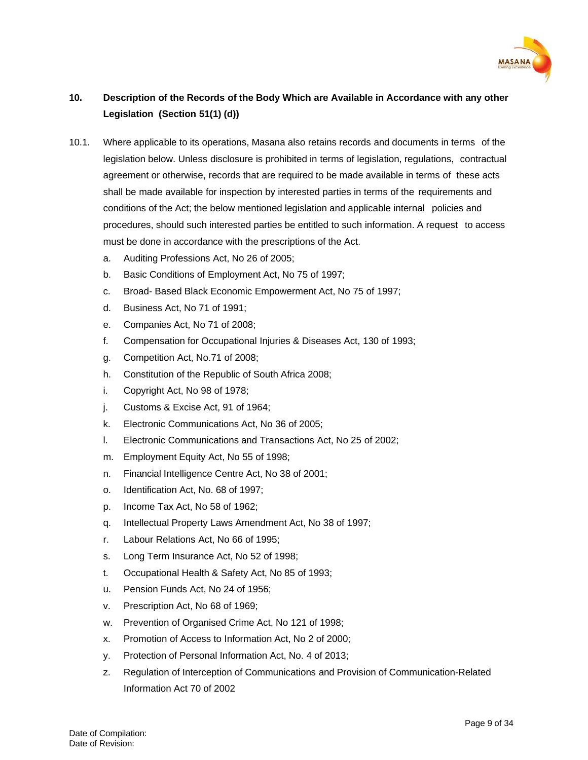

# <span id="page-8-0"></span>**10. Description of the Records of the Body Which are Available in Accordance with any other Legislation (Section 51(1) (d))**

- 10.1. Where applicable to its operations, Masana also retains records and documents in terms of the legislation below. Unless disclosure is prohibited in terms of legislation, regulations, contractual agreement or otherwise, records that are required to be made available in terms of these acts shall be made available for inspection by interested parties in terms of the requirements and conditions of the Act; the below mentioned legislation and applicable internal policies and procedures, should such interested parties be entitled to such information. A request to access must be done in accordance with the prescriptions of the Act.
	- a. Auditing Professions Act, No 26 of 2005;
	- b. Basic Conditions of Employment Act, No 75 of 1997;
	- c. Broad- Based Black Economic Empowerment Act, No 75 of 1997;
	- d. Business Act, No 71 of 1991;
	- e. Companies Act, No 71 of 2008;
	- f. Compensation for Occupational Injuries & Diseases Act, 130 of 1993;
	- g. Competition Act, No.71 of 2008;
	- h. Constitution of the Republic of South Africa 2008;
	- i. Copyright Act, No 98 of 1978;
	- j. Customs & Excise Act, 91 of 1964;
	- k. Electronic Communications Act, No 36 of 2005;
	- l. Electronic Communications and Transactions Act, No 25 of 2002;
	- m. Employment Equity Act, No 55 of 1998;
	- n. Financial Intelligence Centre Act, No 38 of 2001;
	- o. Identification Act, No. 68 of 1997;
	- p. Income Tax Act, No 58 of 1962;
	- q. Intellectual Property Laws Amendment Act, No 38 of 1997;
	- r. Labour Relations Act, No 66 of 1995;
	- s. Long Term Insurance Act, No 52 of 1998;
	- t. Occupational Health & Safety Act, No 85 of 1993;
	- u. Pension Funds Act, No 24 of 1956;
	- v. Prescription Act, No 68 of 1969;
	- w. Prevention of Organised Crime Act, No 121 of 1998;
	- x. Promotion of Access to Information Act, No 2 of 2000;
	- y. Protection of Personal Information Act, No. 4 of 2013;
	- z. Regulation of Interception of Communications and Provision of Communication-Related Information Act 70 of 2002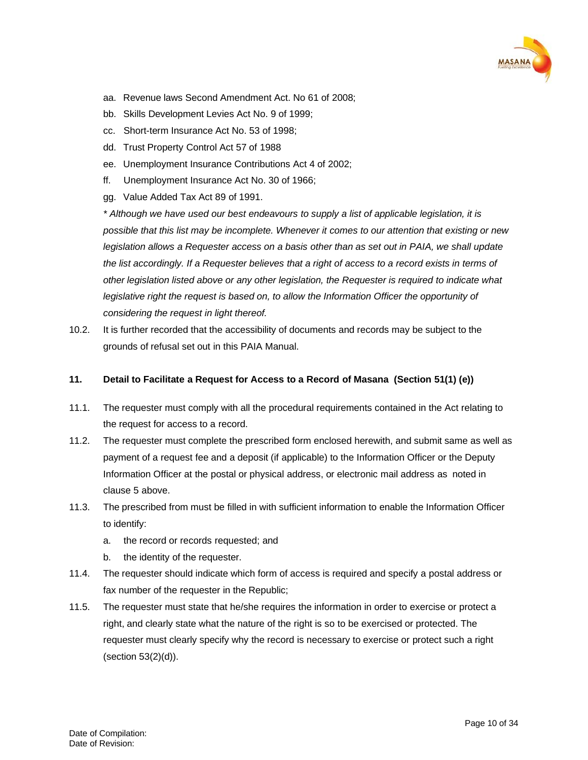

- aa. Revenue laws Second Amendment Act. No 61 of 2008;
- bb. Skills Development Levies Act No. 9 of 1999;
- cc. Short-term Insurance Act No. 53 of 1998;
- dd. Trust Property Control Act 57 of 1988
- ee. Unemployment Insurance Contributions Act 4 of 2002;
- ff. Unemployment Insurance Act No. 30 of 1966;
- gg. Value Added Tax Act 89 of 1991.

*\* Although we have used our best endeavours to supply a list of applicable legislation, it is possible that this list may be incomplete. Whenever it comes to our attention that existing or new legislation allows a Requester access on a basis other than as set out in PAIA, we shall update the list accordingly. If a Requester believes that a right of access to a record exists in terms of other legislation listed above or any other legislation, the Requester is required to indicate what legislative right the request is based on, to allow the Information Officer the opportunity of considering the request in light thereof.*

10.2. It is further recorded that the accessibility of documents and records may be subject to the grounds of refusal set out in this PAIA Manual.

#### <span id="page-9-0"></span>**11. Detail to Facilitate a Request for Access to a Record of Masana (Section 51(1) (e))**

- 11.1. The requester must comply with all the procedural requirements contained in the Act relating to the request for access to a record.
- 11.2. The requester must complete the prescribed form enclosed herewith, and submit same as well as payment of a request fee and a deposit (if applicable) to the Information Officer or the Deputy Information Officer at the postal or physical address, or electronic mail address as noted in clause 5 above.
- 11.3. The prescribed from must be filled in with sufficient information to enable the Information Officer to identify:
	- a. the record or records requested; and
	- b. the identity of the requester.
- 11.4. The requester should indicate which form of access is required and specify a postal address or fax number of the requester in the Republic;
- 11.5. The requester must state that he/she requires the information in order to exercise or protect a right, and clearly state what the nature of the right is so to be exercised or protected. The requester must clearly specify why the record is necessary to exercise or protect such a right (section 53(2)(d)).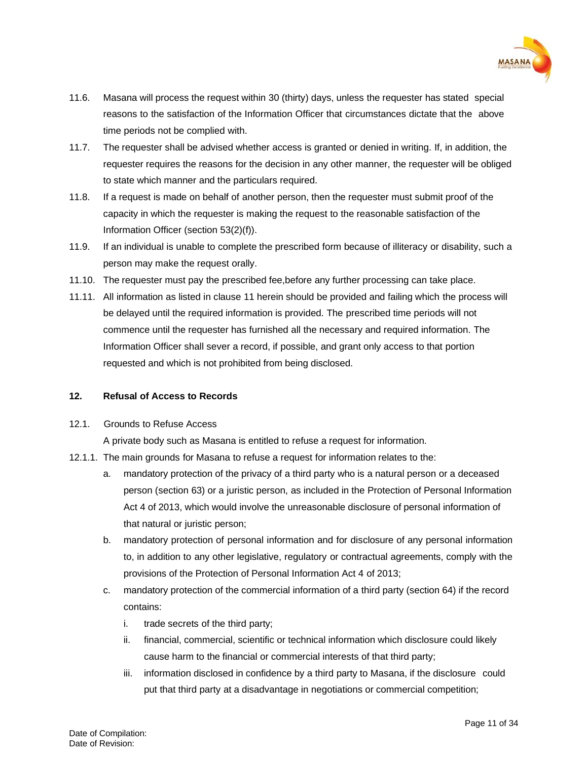

- 11.6. Masana will process the request within 30 (thirty) days, unless the requester has stated special reasons to the satisfaction of the Information Officer that circumstances dictate that the above time periods not be complied with.
- 11.7. The requester shall be advised whether access is granted or denied in writing. If, in addition, the requester requires the reasons for the decision in any other manner, the requester will be obliged to state which manner and the particulars required.
- 11.8. If a request is made on behalf of another person, then the requester must submit proof of the capacity in which the requester is making the request to the reasonable satisfaction of the Information Officer (section 53(2)(f)).
- 11.9. If an individual is unable to complete the prescribed form because of illiteracy or disability, such a person may make the request orally.
- 11.10. The requester must pay the prescribed fee,before any further processing can take place.
- 11.11. All information as listed in clause 11 herein should be provided and failing which the process will be delayed until the required information is provided. The prescribed time periods will not commence until the requester has furnished all the necessary and required information. The Information Officer shall sever a record, if possible, and grant only access to that portion requested and which is not prohibited from being disclosed.

# <span id="page-10-0"></span>**12. Refusal of Access to Records**

# 12.1. Grounds to Refuse Access

A private body such as Masana is entitled to refuse a request for information.

- 12.1.1. The main grounds for Masana to refuse a request for information relates to the:
	- a. mandatory protection of the privacy of a third party who is a natural person or a deceased person (section 63) or a juristic person, as included in the Protection of Personal Information Act 4 of 2013, which would involve the unreasonable disclosure of personal information of that natural or juristic person;
	- b. mandatory protection of personal information and for disclosure of any personal information to, in addition to any other legislative, regulatory or contractual agreements, comply with the provisions of the Protection of Personal Information Act 4 of 2013;
	- c. mandatory protection of the commercial information of a third party (section 64) if the record contains:
		- i. trade secrets of the third party;
		- ii. financial, commercial, scientific or technical information which disclosure could likely cause harm to the financial or commercial interests of that third party;
		- iii. information disclosed in confidence by a third party to Masana, if the disclosure could put that third party at a disadvantage in negotiations or commercial competition;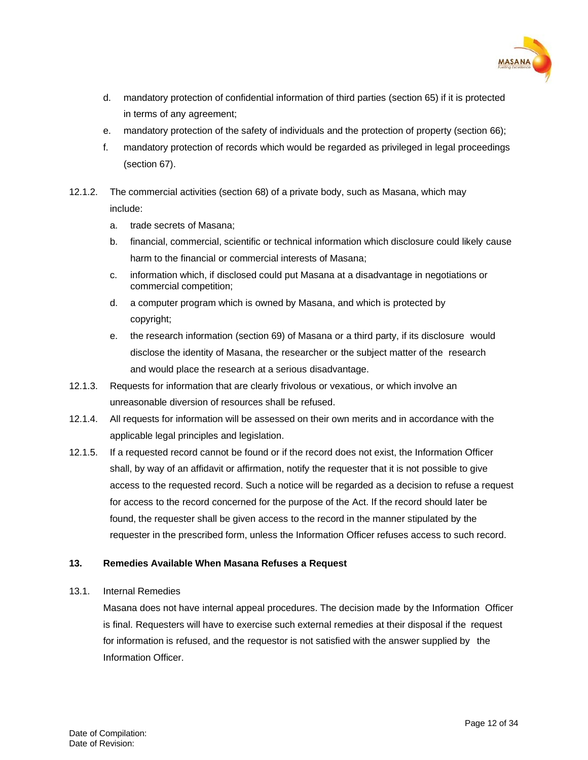

- d. mandatory protection of confidential information of third parties (section 65) if it is protected in terms of any agreement;
- e. mandatory protection of the safety of individuals and the protection of property (section 66);
- f. mandatory protection of records which would be regarded as privileged in legal proceedings (section 67).
- 12.1.2. The commercial activities (section 68) of a private body, such as Masana, which may include:
	- a. trade secrets of Masana;
	- b. financial, commercial, scientific or technical information which disclosure could likely cause harm to the financial or commercial interests of Masana;
	- c. information which, if disclosed could put Masana at a disadvantage in negotiations or commercial competition;
	- d. a computer program which is owned by Masana, and which is protected by copyright;
	- e. the research information (section 69) of Masana or a third party, if its disclosure would disclose the identity of Masana, the researcher or the subject matter of the research and would place the research at a serious disadvantage.
- 12.1.3. Requests for information that are clearly frivolous or vexatious, or which involve an unreasonable diversion of resources shall be refused.
- 12.1.4. All requests for information will be assessed on their own merits and in accordance with the applicable legal principles and legislation.
- 12.1.5. If a requested record cannot be found or if the record does not exist, the Information Officer shall, by way of an affidavit or affirmation, notify the requester that it is not possible to give access to the requested record. Such a notice will be regarded as a decision to refuse a request for access to the record concerned for the purpose of the Act. If the record should later be found, the requester shall be given access to the record in the manner stipulated by the requester in the prescribed form, unless the Information Officer refuses access to such record.

# <span id="page-11-0"></span>**13. Remedies Available When Masana Refuses a Request**

13.1. Internal Remedies

Masana does not have internal appeal procedures. The decision made by the Information Officer is final. Requesters will have to exercise such external remedies at their disposal if the request for information is refused, and the requestor is not satisfied with the answer supplied by the Information Officer.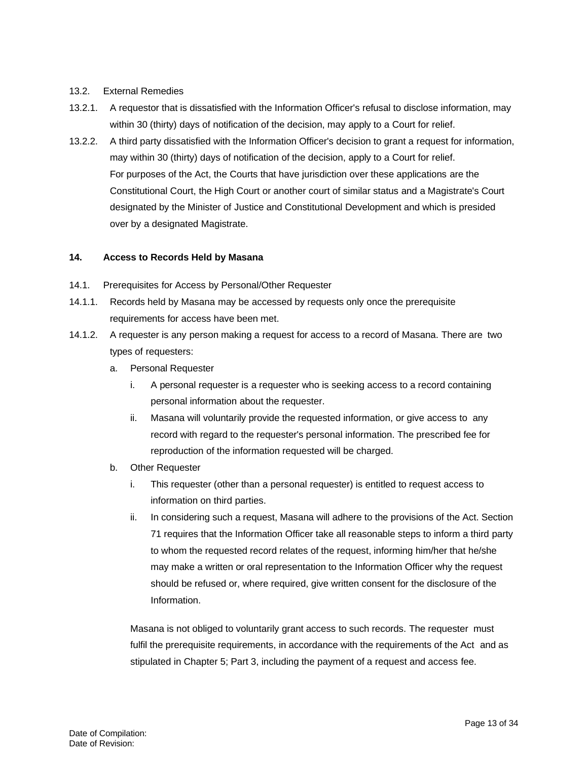#### 13.2. External Remedies

- 13.2.1. A requestor that is dissatisfied with the Information Officer's refusal to disclose information, may within 30 (thirty) days of notification of the decision, may apply to a Court for relief.
- 13.2.2. A third party dissatisfied with the Information Officer's decision to grant a request for information, may within 30 (thirty) days of notification of the decision, apply to a Court for relief. For purposes of the Act, the Courts that have jurisdiction over these applications are the Constitutional Court, the High Court or another court of similar status and a Magistrate's Court designated by the Minister of Justice and Constitutional Development and which is presided over by a designated Magistrate.

#### <span id="page-12-0"></span>**14. Access to Records Held by Masana**

- 14.1. Prerequisites for Access by Personal/Other Requester
- 14.1.1. Records held by Masana may be accessed by requests only once the prerequisite requirements for access have been met.
- 14.1.2. A requester is any person making a request for access to a record of Masana. There are two types of requesters:
	- a. Personal Requester
		- i. A personal requester is a requester who is seeking access to a record containing personal information about the requester.
		- ii. Masana will voluntarily provide the requested information, or give access to any record with regard to the requester's personal information. The prescribed fee for reproduction of the information requested will be charged.
	- b. Other Requester
		- i. This requester (other than a personal requester) is entitled to request access to information on third parties.
		- ii. In considering such a request, Masana will adhere to the provisions of the Act. Section 71 requires that the Information Officer take all reasonable steps to inform a third party to whom the requested record relates of the request, informing him/her that he/she may make a written or oral representation to the Information Officer why the request should be refused or, where required, give written consent for the disclosure of the Information.

Masana is not obliged to voluntarily grant access to such records. The requester must fulfil the prerequisite requirements, in accordance with the requirements of the Act and as stipulated in Chapter 5; Part 3, including the payment of a request and access fee.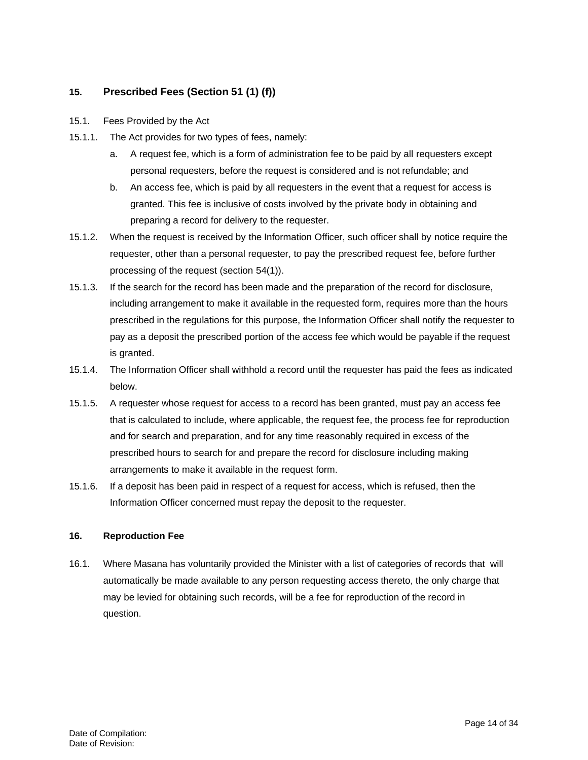# <span id="page-13-0"></span>**15. Prescribed Fees (Section 51 (1) (f))**

- 15.1. Fees Provided by the Act
- 15.1.1. The Act provides for two types of fees, namely:
	- a. A request fee, which is a form of administration fee to be paid by all requesters except personal requesters, before the request is considered and is not refundable; and
	- b. An access fee, which is paid by all requesters in the event that a request for access is granted. This fee is inclusive of costs involved by the private body in obtaining and preparing a record for delivery to the requester.
- 15.1.2. When the request is received by the Information Officer, such officer shall by notice require the requester, other than a personal requester, to pay the prescribed request fee, before further processing of the request (section 54(1)).
- 15.1.3. If the search for the record has been made and the preparation of the record for disclosure, including arrangement to make it available in the requested form, requires more than the hours prescribed in the regulations for this purpose, the Information Officer shall notify the requester to pay as a deposit the prescribed portion of the access fee which would be payable if the request is granted.
- 15.1.4. The Information Officer shall withhold a record until the requester has paid the fees as indicated below.
- 15.1.5. A requester whose request for access to a record has been granted, must pay an access fee that is calculated to include, where applicable, the request fee, the process fee for reproduction and for search and preparation, and for any time reasonably required in excess of the prescribed hours to search for and prepare the record for disclosure including making arrangements to make it available in the request form.
- 15.1.6. If a deposit has been paid in respect of a request for access, which is refused, then the Information Officer concerned must repay the deposit to the requester.

# <span id="page-13-1"></span>**16. Reproduction Fee**

16.1. Where Masana has voluntarily provided the Minister with a list of categories of records that will automatically be made available to any person requesting access thereto, the only charge that may be levied for obtaining such records, will be a fee for reproduction of the record in question.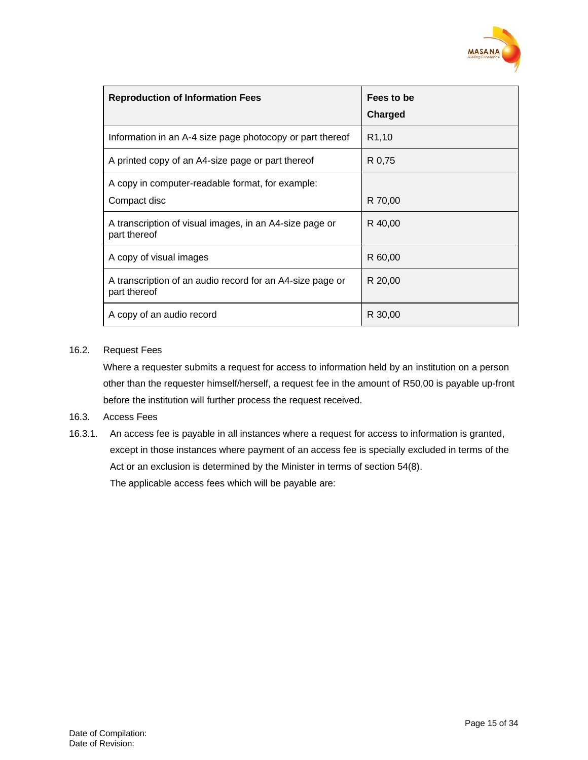

| <b>Reproduction of Information Fees</b>                                   | Fees to be<br>Charged |
|---------------------------------------------------------------------------|-----------------------|
| Information in an A-4 size page photocopy or part thereof                 | R <sub>1</sub> ,10    |
| A printed copy of an A4-size page or part thereof                         | R 0,75                |
| A copy in computer-readable format, for example:<br>Compact disc          | R 70,00               |
| A transcription of visual images, in an A4-size page or<br>part thereof   | R 40,00               |
| A copy of visual images                                                   | R 60,00               |
| A transcription of an audio record for an A4-size page or<br>part thereof | R 20,00               |
| A copy of an audio record                                                 | R 30,00               |

#### 16.2. Request Fees

Where a requester submits a request for access to information held by an institution on a person other than the requester himself/herself, a request fee in the amount of R50,00 is payable up-front before the institution will further process the request received.

# 16.3. Access Fees

16.3.1. An access fee is payable in all instances where a request for access to information is granted, except in those instances where payment of an access fee is specially excluded in terms of the Act or an exclusion is determined by the Minister in terms of section 54(8). The applicable access fees which will be payable are: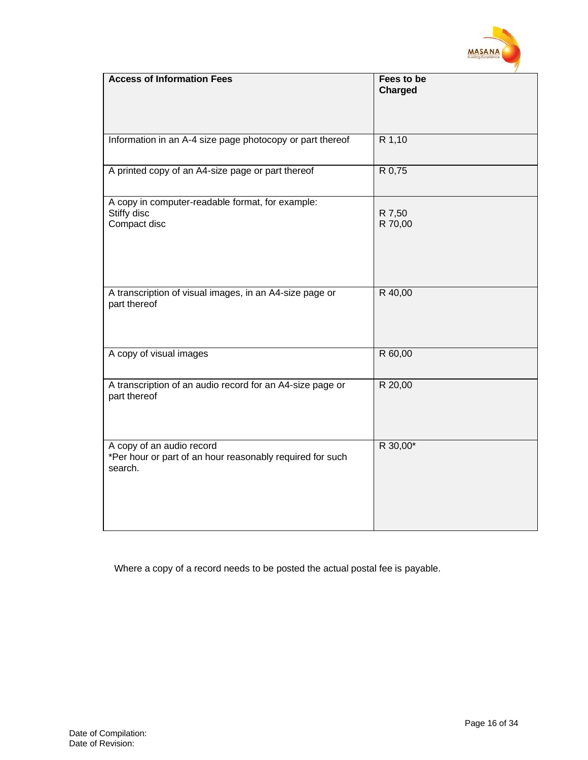

| <b>Access of Information Fees</b>                                                                 | Fees to be<br>Charged |
|---------------------------------------------------------------------------------------------------|-----------------------|
|                                                                                                   |                       |
| Information in an A-4 size page photocopy or part thereof                                         | R 1,10                |
| A printed copy of an A4-size page or part thereof                                                 | R 0,75                |
| A copy in computer-readable format, for example:<br>Stiffy disc<br>Compact disc                   | R 7,50<br>R 70,00     |
| A transcription of visual images, in an A4-size page or<br>part thereof                           | R 40,00               |
| A copy of visual images                                                                           | R 60,00               |
| A transcription of an audio record for an A4-size page or<br>part thereof                         | R 20,00               |
| A copy of an audio record<br>*Per hour or part of an hour reasonably required for such<br>search. | R 30,00*              |

Where a copy of a record needs to be posted the actual postal fee is payable.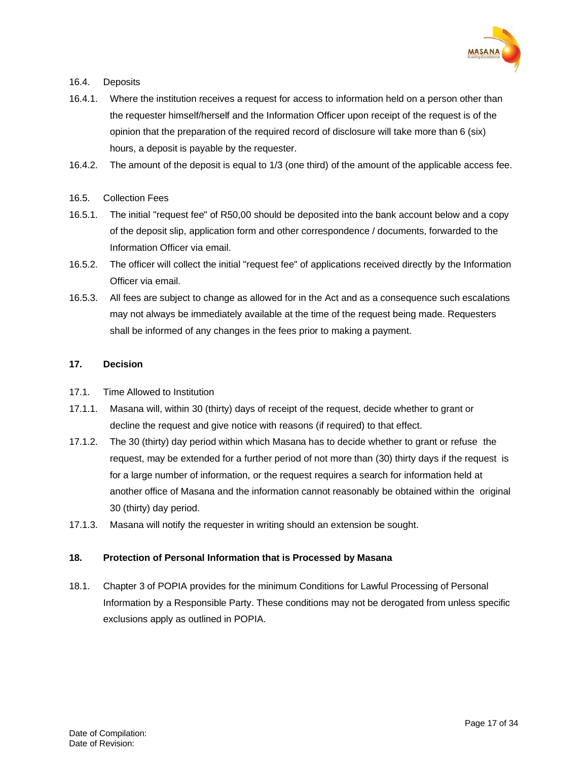

# 16.4. Deposits

- 16.4.1. Where the institution receives a request for access to information held on a person other than the requester himself/herself and the Information Officer upon receipt of the request is of the opinion that the preparation of the required record of disclosure will take more than 6 (six) hours, a deposit is payable by the requester.
- 16.4.2. The amount of the deposit is equal to 1/3 (one third) of the amount of the applicable access fee.

# 16.5. Collection Fees

- 16.5.1. The initial "request fee" of R50,00 should be deposited into the bank account below and a copy of the deposit slip, application form and other correspondence / documents, forwarded to the Information Officer via email.
- 16.5.2. The officer will collect the initial "request fee" of applications received directly by the Information Officer via email.
- 16.5.3. All fees are subject to change as allowed for in the Act and as a consequence such escalations may not always be immediately available at the time of the request being made. Requesters shall be informed of any changes in the fees prior to making a payment.

# <span id="page-16-0"></span>**17. Decision**

- 17.1. Time Allowed to Institution
- 17.1.1. Masana will, within 30 (thirty) days of receipt of the request, decide whether to grant or decline the request and give notice with reasons (if required) to that effect.
- 17.1.2. The 30 (thirty) day period within which Masana has to decide whether to grant or refuse the request, may be extended for a further period of not more than (30) thirty days if the request is for a large number of information, or the request requires a search for information held at another office of Masana and the information cannot reasonably be obtained within the original 30 (thirty) day period.
- 17.1.3. Masana will notify the requester in writing should an extension be sought.

# <span id="page-16-1"></span>**18. Protection of Personal Information that is Processed by Masana**

18.1. Chapter 3 of POPIA provides for the minimum Conditions for Lawful Processing of Personal Information by a Responsible Party. These conditions may not be derogated from unless specific exclusions apply as outlined in POPIA.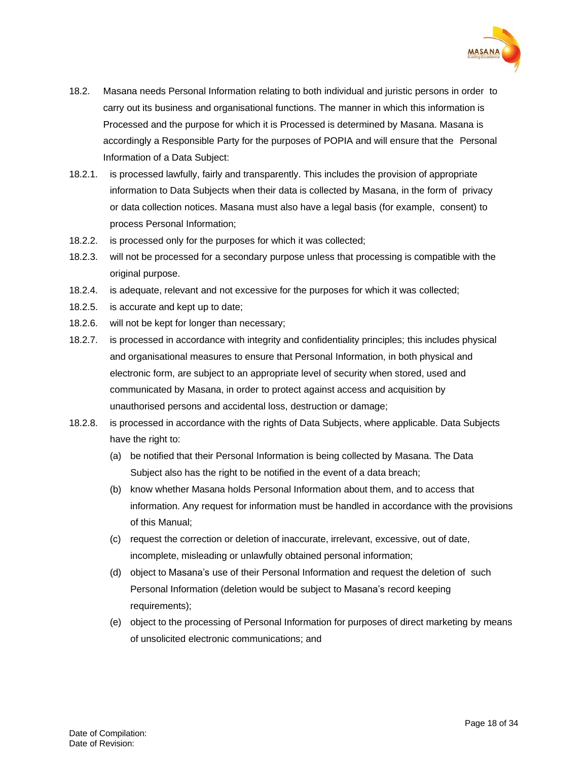

- 18.2. Masana needs Personal Information relating to both individual and juristic persons in order to carry out its business and organisational functions. The manner in which this information is Processed and the purpose for which it is Processed is determined by Masana. Masana is accordingly a Responsible Party for the purposes of POPIA and will ensure that the Personal Information of a Data Subject:
- 18.2.1. is processed lawfully, fairly and transparently. This includes the provision of appropriate information to Data Subjects when their data is collected by Masana, in the form of privacy or data collection notices. Masana must also have a legal basis (for example, consent) to process Personal Information;
- 18.2.2. is processed only for the purposes for which it was collected;
- 18.2.3. will not be processed for a secondary purpose unless that processing is compatible with the original purpose.
- 18.2.4. is adequate, relevant and not excessive for the purposes for which it was collected;
- 18.2.5. is accurate and kept up to date;
- 18.2.6. will not be kept for longer than necessary;
- 18.2.7. is processed in accordance with integrity and confidentiality principles; this includes physical and organisational measures to ensure that Personal Information, in both physical and electronic form, are subject to an appropriate level of security when stored, used and communicated by Masana, in order to protect against access and acquisition by unauthorised persons and accidental loss, destruction or damage;
- 18.2.8. is processed in accordance with the rights of Data Subjects, where applicable. Data Subjects have the right to:
	- (a) be notified that their Personal Information is being collected by Masana. The Data Subject also has the right to be notified in the event of a data breach;
	- (b) know whether Masana holds Personal Information about them, and to access that information. Any request for information must be handled in accordance with the provisions of this Manual;
	- (c) request the correction or deletion of inaccurate, irrelevant, excessive, out of date, incomplete, misleading or unlawfully obtained personal information;
	- (d) object to Masana's use of their Personal Information and request the deletion of such Personal Information (deletion would be subject to Masana's record keeping requirements);
	- (e) object to the processing of Personal Information for purposes of direct marketing by means of unsolicited electronic communications; and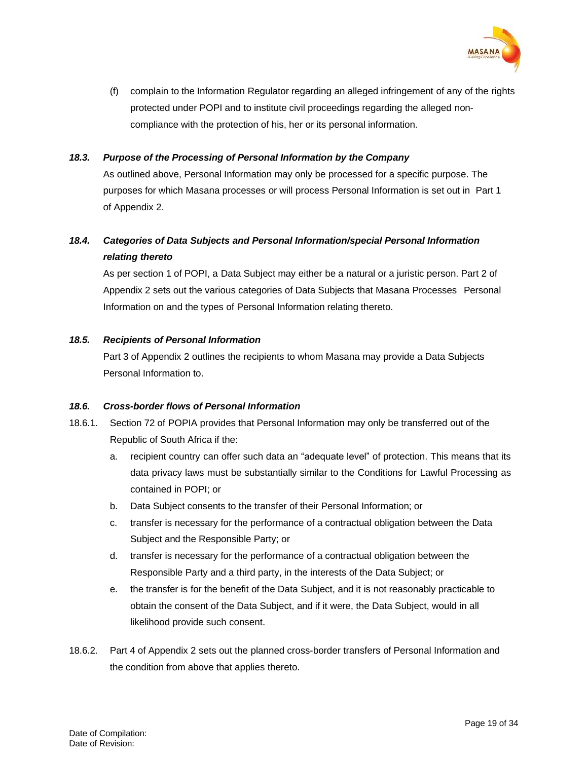

(f) complain to the Information Regulator regarding an alleged infringement of any of the rights protected under POPI and to institute civil proceedings regarding the alleged noncompliance with the protection of his, her or its personal information.

#### *18.3. Purpose of the Processing of Personal Information by the Company*

As outlined above, Personal Information may only be processed for a specific purpose. The purposes for which Masana processes or will process Personal Information is set out in Part 1 of Appendix 2.

# *18.4. Categories of Data Subjects and Personal Information/special Personal Information relating thereto*

As per section 1 of POPI, a Data Subject may either be a natural or a juristic person. Part 2 of Appendix 2 sets out the various categories of Data Subjects that Masana Processes Personal Information on and the types of Personal Information relating thereto.

#### *18.5. Recipients of Personal Information*

Part 3 of Appendix 2 outlines the recipients to whom Masana may provide a Data Subjects Personal Information to.

## *18.6. Cross-border flows of Personal Information*

- 18.6.1. Section 72 of POPIA provides that Personal Information may only be transferred out of the Republic of South Africa if the:
	- a. recipient country can offer such data an "adequate level" of protection. This means that its data privacy laws must be substantially similar to the Conditions for Lawful Processing as contained in POPI; or
	- b. Data Subject consents to the transfer of their Personal Information; or
	- c. transfer is necessary for the performance of a contractual obligation between the Data Subject and the Responsible Party; or
	- d. transfer is necessary for the performance of a contractual obligation between the Responsible Party and a third party, in the interests of the Data Subject; or
	- e. the transfer is for the benefit of the Data Subject, and it is not reasonably practicable to obtain the consent of the Data Subject, and if it were, the Data Subject, would in all likelihood provide such consent.
- 18.6.2. Part 4 of Appendix 2 sets out the planned cross-border transfers of Personal Information and the condition from above that applies thereto.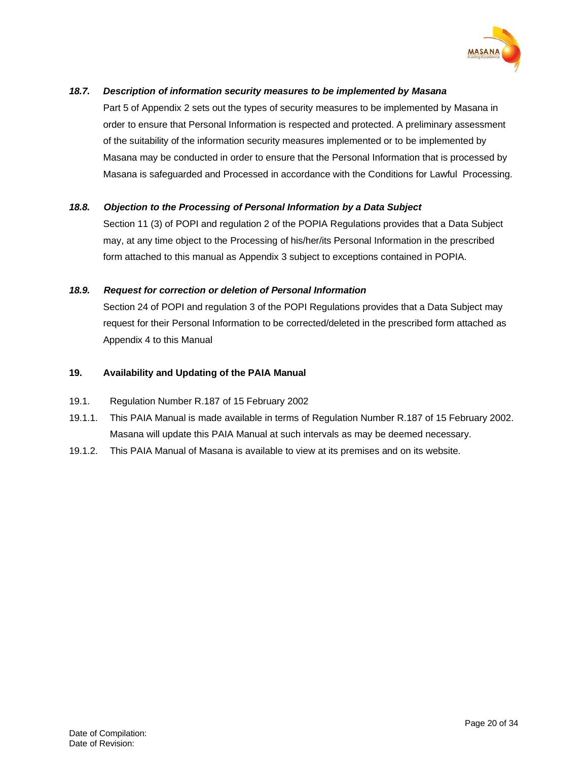

# *18.7. Description of information security measures to be implemented by Masana*

Part 5 of Appendix 2 sets out the types of security measures to be implemented by Masana in order to ensure that Personal Information is respected and protected. A preliminary assessment of the suitability of the information security measures implemented or to be implemented by Masana may be conducted in order to ensure that the Personal Information that is processed by Masana is safeguarded and Processed in accordance with the Conditions for Lawful Processing.

# *18.8. Objection to the Processing of Personal Information by a Data Subject*

Section 11 (3) of POPI and regulation 2 of the POPIA Regulations provides that a Data Subject may, at any time object to the Processing of his/her/its Personal Information in the prescribed form attached to this manual as Appendix 3 subject to exceptions contained in POPIA.

# *18.9. Request for correction or deletion of Personal Information*

Section 24 of POPI and regulation 3 of the POPI Regulations provides that a Data Subject may request for their Personal Information to be corrected/deleted in the prescribed form attached as Appendix 4 to this Manual

#### <span id="page-19-0"></span>**19. Availability and Updating of the PAIA Manual**

#### 19.1. Regulation Number R.187 of 15 February 2002

- 19.1.1. This PAIA Manual is made available in terms of Regulation Number R.187 of 15 February 2002. Masana will update this PAIA Manual at such intervals as may be deemed necessary.
- 19.1.2. This PAIA Manual of Masana is available to view at its premises and on its website.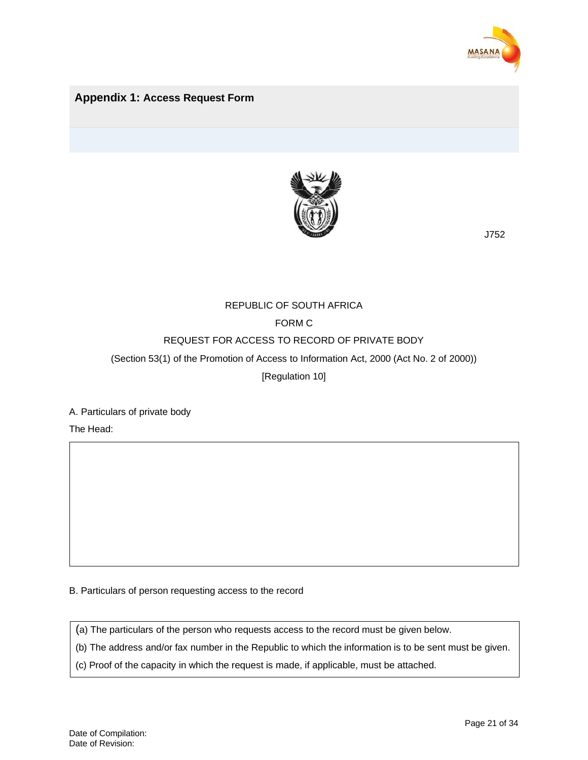

# <span id="page-20-0"></span>**Appendix 1: Access Request Form**



J752

# REPUBLIC OF SOUTH AFRICA

# FORM C

# REQUEST FOR ACCESS TO RECORD OF PRIVATE BODY

(Section 53(1) of the Promotion of Access to Information Act, 2000 (Act No. 2 of 2000))

[Regulation 10]

A. Particulars of private body

The Head:

B. Particulars of person requesting access to the record

(a) The particulars of the person who requests access to the record must be given below.

(b) The address and/or fax number in the Republic to which the information is to be sent must be given.

(c) Proof of the capacity in which the request is made, if applicable, must be attached.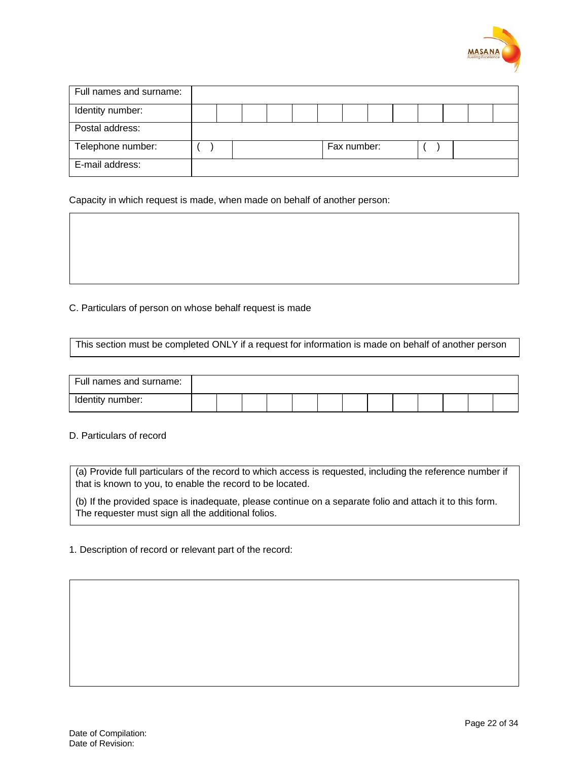

| Full names and surname: |  |  |  |             |  |  |  |
|-------------------------|--|--|--|-------------|--|--|--|
| Identity number:        |  |  |  |             |  |  |  |
| Postal address:         |  |  |  |             |  |  |  |
| Telephone number:       |  |  |  | Fax number: |  |  |  |
| E-mail address:         |  |  |  |             |  |  |  |

Capacity in which request is made, when made on behalf of another person:

C. Particulars of person on whose behalf request is made

This section must be completed ONLY if a request for information is made on behalf of another person

| Full names and surname: |  |  |  |  |  |  |  |
|-------------------------|--|--|--|--|--|--|--|
| Identity number:        |  |  |  |  |  |  |  |

D. Particulars of record

(a) Provide full particulars of the record to which access is requested, including the reference number if that is known to you, to enable the record to be located.

(b) If the provided space is inadequate, please continue on a separate folio and attach it to this form. The requester must sign all the additional folios.

1. Description of record or relevant part of the record: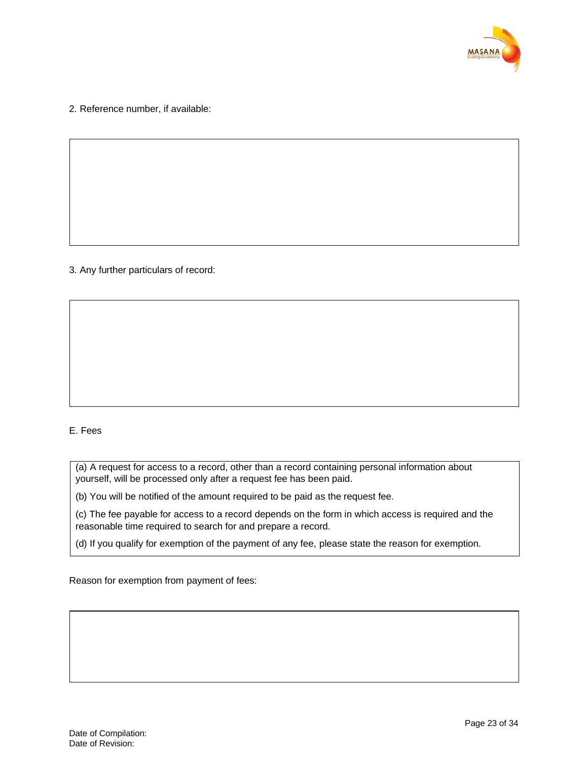

2. Reference number, if available:

# 3. Any further particulars of record:

# E. Fees

(a) A request for access to a record, other than a record containing personal information about yourself, will be processed only after a request fee has been paid.

(b) You will be notified of the amount required to be paid as the request fee.

(c) The fee payable for access to a record depends on the form in which access is required and the reasonable time required to search for and prepare a record.

(d) If you qualify for exemption of the payment of any fee, please state the reason for exemption.

Reason for exemption from payment of fees: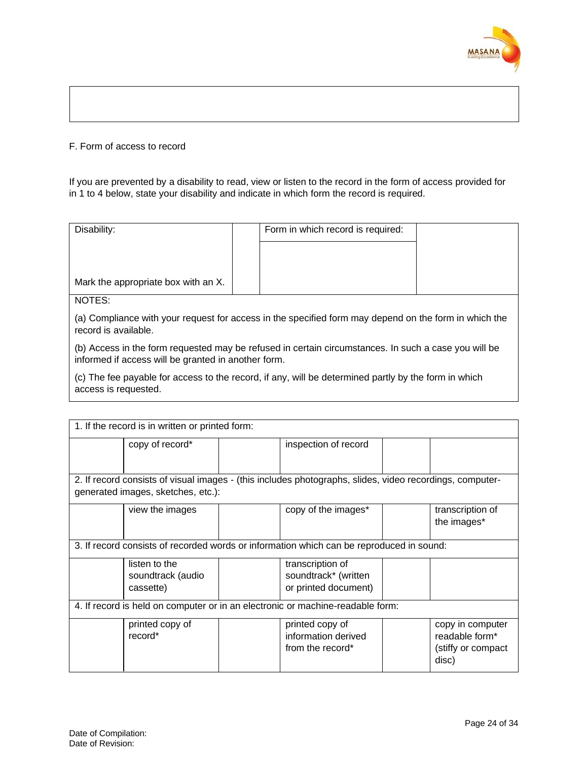

#### F. Form of access to record

If you are prevented by a disability to read, view or listen to the record in the form of access provided for in 1 to 4 below, state your disability and indicate in which form the record is required.

| Disability:                         | Form in which record is required: |  |
|-------------------------------------|-----------------------------------|--|
|                                     |                                   |  |
|                                     |                                   |  |
| Mark the appropriate box with an X. |                                   |  |
| NOTES:                              |                                   |  |

(a) Compliance with your request for access in the specified form may depend on the form in which the record is available.

(b) Access in the form requested may be refused in certain circumstances. In such a case you will be informed if access will be granted in another form.

(c) The fee payable for access to the record, if any, will be determined partly by the form in which access is requested.

| 1. If the record is in written or printed form:                                                          |                                                 |  |                                                                  |  |                                                                    |
|----------------------------------------------------------------------------------------------------------|-------------------------------------------------|--|------------------------------------------------------------------|--|--------------------------------------------------------------------|
|                                                                                                          | copy of record*                                 |  | inspection of record                                             |  |                                                                    |
|                                                                                                          |                                                 |  |                                                                  |  |                                                                    |
| 2. If record consists of visual images - (this includes photographs, slides, video recordings, computer- |                                                 |  |                                                                  |  |                                                                    |
| generated images, sketches, etc.):                                                                       |                                                 |  |                                                                  |  |                                                                    |
|                                                                                                          | view the images                                 |  | copy of the images*                                              |  | transcription of<br>the images*                                    |
| 3. If record consists of recorded words or information which can be reproduced in sound:                 |                                                 |  |                                                                  |  |                                                                    |
|                                                                                                          | listen to the<br>soundtrack (audio<br>cassette) |  | transcription of<br>soundtrack* (written<br>or printed document) |  |                                                                    |
| 4. If record is held on computer or in an electronic or machine-readable form:                           |                                                 |  |                                                                  |  |                                                                    |
|                                                                                                          | printed copy of<br>record*                      |  | printed copy of<br>information derived<br>from the record*       |  | copy in computer<br>readable form*<br>(stiffy or compact)<br>disc) |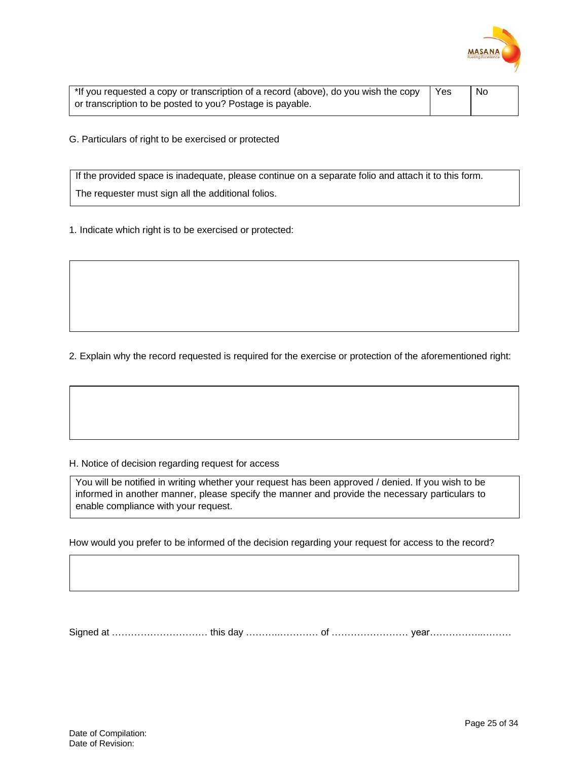

| *If you requested a copy or transcription of a record (above), do you wish the copy | l Yes | No. |
|-------------------------------------------------------------------------------------|-------|-----|
| or transcription to be posted to you? Postage is payable.                           |       |     |

G. Particulars of right to be exercised or protected

If the provided space is inadequate, please continue on a separate folio and attach it to this form. The requester must sign all the additional folios.

1. Indicate which right is to be exercised or protected:

2. Explain why the record requested is required for the exercise or protection of the aforementioned right:

#### H. Notice of decision regarding request for access

You will be notified in writing whether your request has been approved / denied. If you wish to be informed in another manner, please specify the manner and provide the necessary particulars to enable compliance with your request.

How would you prefer to be informed of the decision regarding your request for access to the record?

Signed at ………………………… this day ………..………… of …………………… year……………..………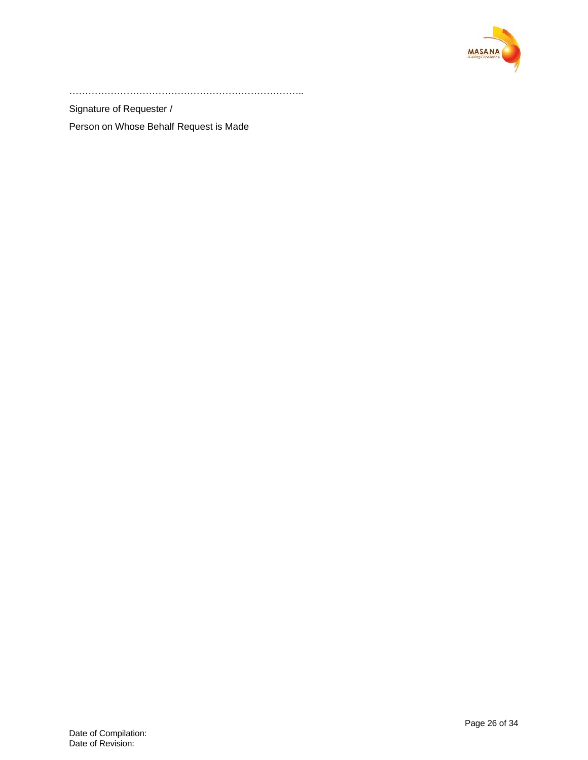

………………………………………………………………..

Signature of Requester /

Person on Whose Behalf Request is Made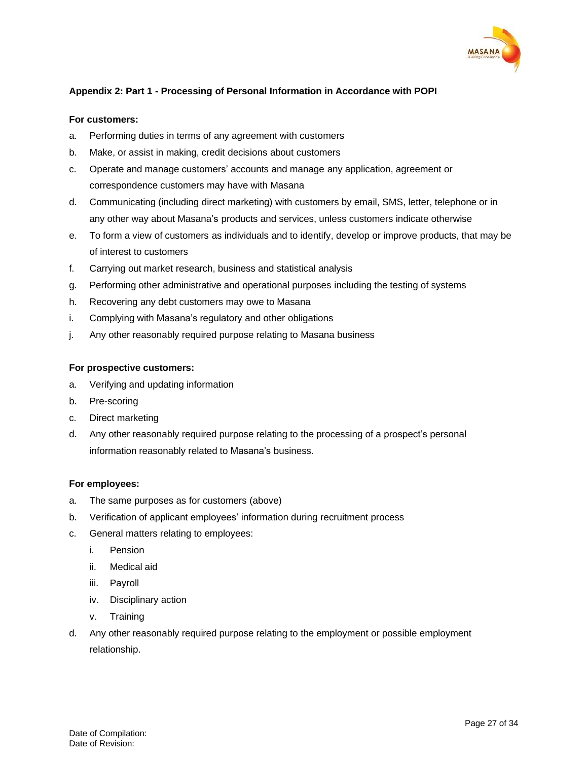

# <span id="page-26-0"></span>**Appendix 2: Part 1 - Processing of Personal Information in Accordance with POPI**

#### **For customers:**

- a. Performing duties in terms of any agreement with customers
- b. Make, or assist in making, credit decisions about customers
- c. Operate and manage customers' accounts and manage any application, agreement or correspondence customers may have with Masana
- d. Communicating (including direct marketing) with customers by email, SMS, letter, telephone or in any other way about Masana's products and services, unless customers indicate otherwise
- e. To form a view of customers as individuals and to identify, develop or improve products, that may be of interest to customers
- f. Carrying out market research, business and statistical analysis
- g. Performing other administrative and operational purposes including the testing of systems
- h. Recovering any debt customers may owe to Masana
- i. Complying with Masana's regulatory and other obligations
- j. Any other reasonably required purpose relating to Masana business

#### **For prospective customers:**

- a. Verifying and updating information
- b. Pre-scoring
- c. Direct marketing
- d. Any other reasonably required purpose relating to the processing of a prospect's personal information reasonably related to Masana's business.

#### **For employees:**

- a. The same purposes as for customers (above)
- b. Verification of applicant employees' information during recruitment process
- c. General matters relating to employees:
	- i. Pension
	- ii. Medical aid
	- iii. Payroll
	- iv. Disciplinary action
	- v. Training
- d. Any other reasonably required purpose relating to the employment or possible employment relationship.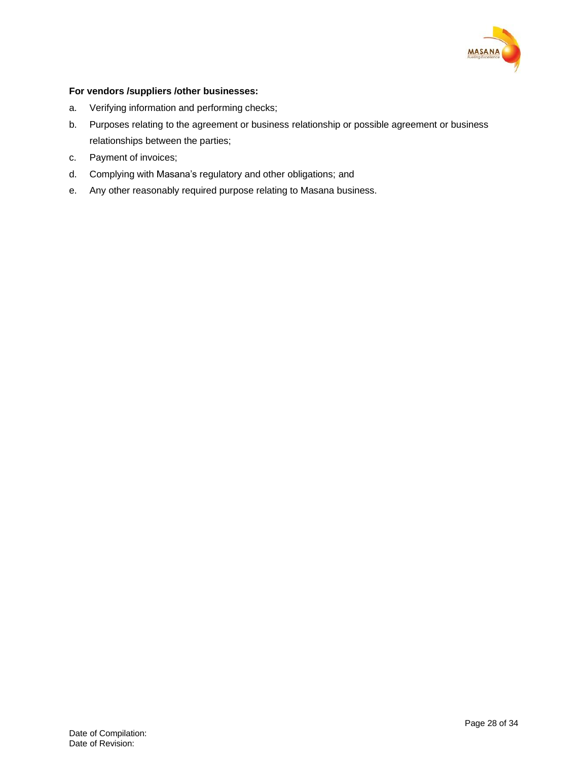

# **For vendors /suppliers /other businesses:**

- a. Verifying information and performing checks;
- b. Purposes relating to the agreement or business relationship or possible agreement or business relationships between the parties;
- c. Payment of invoices;
- d. Complying with Masana's regulatory and other obligations; and
- e. Any other reasonably required purpose relating to Masana business.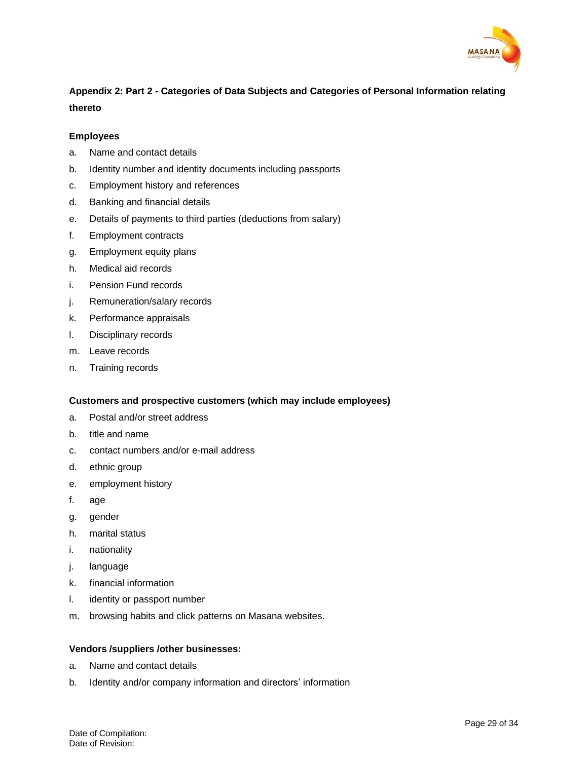

# <span id="page-28-0"></span>**Appendix 2: Part 2 - Categories of Data Subjects and Categories of Personal Information relating thereto**

#### **Employees**

- a. Name and contact details
- b. Identity number and identity documents including passports
- c. Employment history and references
- d. Banking and financial details
- e. Details of payments to third parties (deductions from salary)
- f. Employment contracts
- g. Employment equity plans
- h. Medical aid records
- i. Pension Fund records
- j. Remuneration/salary records
- k. Performance appraisals
- l. Disciplinary records
- m. Leave records
- n. Training records

# **Customers and prospective customers (which may include employees)**

- a. Postal and/or street address
- b. title and name
- c. contact numbers and/or e-mail address
- d. ethnic group
- e. employment history
- f. age
- g. gender
- h. marital status
- i. nationality
- j. language
- k. financial information
- l. identity or passport number
- m. browsing habits and click patterns on Masana websites.

#### **Vendors /suppliers /other businesses:**

- a. Name and contact details
- b. Identity and/or company information and directors' information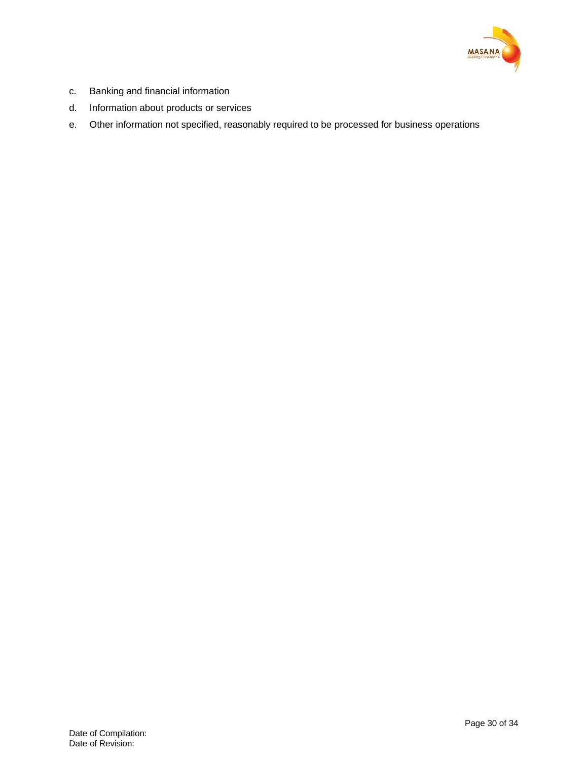

- c. Banking and financial information
- d. Information about products or services
- e. Other information not specified, reasonably required to be processed for business operations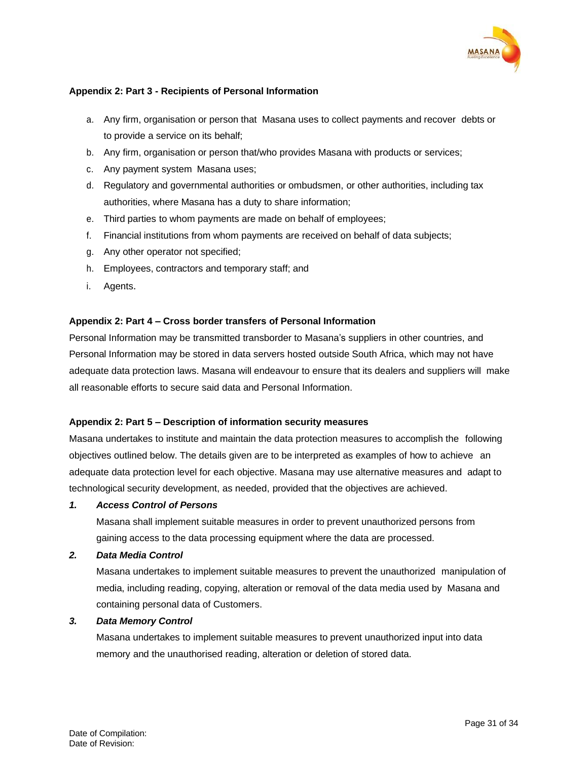

# <span id="page-30-0"></span>**Appendix 2: Part 3 - Recipients of Personal Information**

- a. Any firm, organisation or person that Masana uses to collect payments and recover debts or to provide a service on its behalf;
- b. Any firm, organisation or person that/who provides Masana with products or services;
- c. Any payment system Masana uses;
- d. Regulatory and governmental authorities or ombudsmen, or other authorities, including tax authorities, where Masana has a duty to share information;
- e. Third parties to whom payments are made on behalf of employees;
- f. Financial institutions from whom payments are received on behalf of data subjects;
- g. Any other operator not specified;
- h. Employees, contractors and temporary staff; and
- i. Agents.

# <span id="page-30-1"></span>**Appendix 2: Part 4 – Cross border transfers of Personal Information**

Personal Information may be transmitted transborder to Masana's suppliers in other countries, and Personal Information may be stored in data servers hosted outside South Africa, which may not have adequate data protection laws. Masana will endeavour to ensure that its dealers and suppliers will make all reasonable efforts to secure said data and Personal Information.

# <span id="page-30-2"></span>**Appendix 2: Part 5 – Description of information security measures**

Masana undertakes to institute and maintain the data protection measures to accomplish the following objectives outlined below. The details given are to be interpreted as examples of how to achieve an adequate data protection level for each objective. Masana may use alternative measures and adapt to technological security development, as needed, provided that the objectives are achieved.

#### *1. Access Control of Persons*

Masana shall implement suitable measures in order to prevent unauthorized persons from gaining access to the data processing equipment where the data are processed.

#### *2. Data Media Control*

Masana undertakes to implement suitable measures to prevent the unauthorized manipulation of media, including reading, copying, alteration or removal of the data media used by Masana and containing personal data of Customers.

# *3. Data Memory Control*

Masana undertakes to implement suitable measures to prevent unauthorized input into data memory and the unauthorised reading, alteration or deletion of stored data.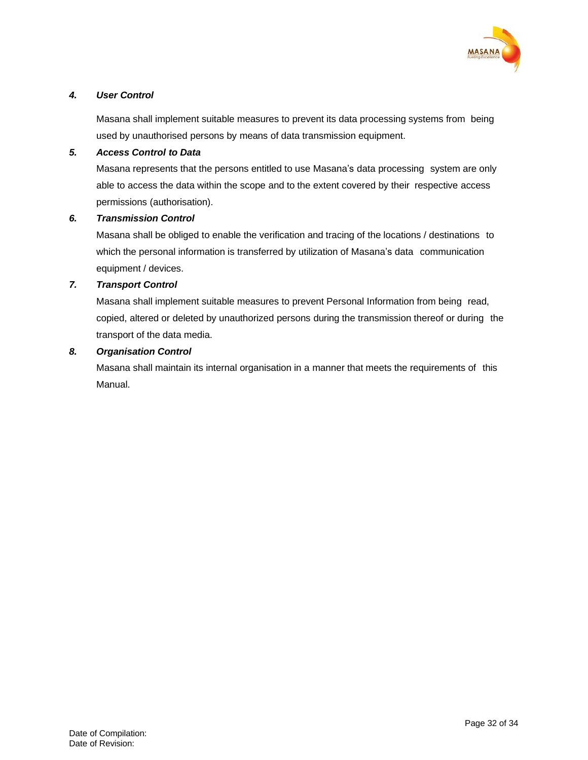

# *4. User Control*

Masana shall implement suitable measures to prevent its data processing systems from being used by unauthorised persons by means of data transmission equipment.

# *5. Access Control to Data*

Masana represents that the persons entitled to use Masana's data processing system are only able to access the data within the scope and to the extent covered by their respective access permissions (authorisation).

#### *6. Transmission Control*

Masana shall be obliged to enable the verification and tracing of the locations / destinations to which the personal information is transferred by utilization of Masana's data communication equipment / devices.

# *7. Transport Control*

Masana shall implement suitable measures to prevent Personal Information from being read, copied, altered or deleted by unauthorized persons during the transmission thereof or during the transport of the data media.

#### *8. Organisation Control*

Masana shall maintain its internal organisation in a manner that meets the requirements of this Manual.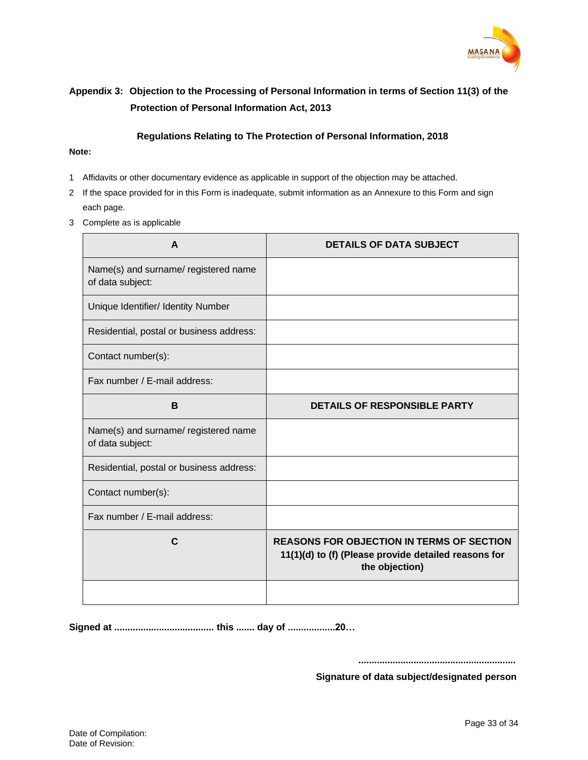

# <span id="page-32-0"></span>**Appendix 3: Objection to the Processing of Personal Information in terms of Section 11(3) of the Protection of Personal Information Act, 2013**

#### **Regulations Relating to The Protection of Personal Information, 2018**

#### **Note:**

- 1 Affidavits or other documentary evidence as applicable in support of the objection may be attached.
- 2 If the space provided for in this Form is inadequate, submit information as an Annexure to this Form and sign each page.
- 3 Complete as is applicable

| A                                                        | <b>DETAILS OF DATA SUBJECT</b>                                                                                             |
|----------------------------------------------------------|----------------------------------------------------------------------------------------------------------------------------|
| Name(s) and surname/ registered name<br>of data subject: |                                                                                                                            |
| Unique Identifier/ Identity Number                       |                                                                                                                            |
| Residential, postal or business address:                 |                                                                                                                            |
| Contact number(s):                                       |                                                                                                                            |
| Fax number / E-mail address:                             |                                                                                                                            |
| B                                                        | <b>DETAILS OF RESPONSIBLE PARTY</b>                                                                                        |
| Name(s) and surname/ registered name<br>of data subject: |                                                                                                                            |
| Residential, postal or business address:                 |                                                                                                                            |
| Contact number(s):                                       |                                                                                                                            |
| Fax number / E-mail address:                             |                                                                                                                            |
| C                                                        | <b>REASONS FOR OBJECTION IN TERMS OF SECTION</b><br>11(1)(d) to (f) (Please provide detailed reasons for<br>the objection) |
|                                                          |                                                                                                                            |

**Signed at ...................................... this ....... day of ..................20…**

**............................................................**

**Signature of data subject/designated person**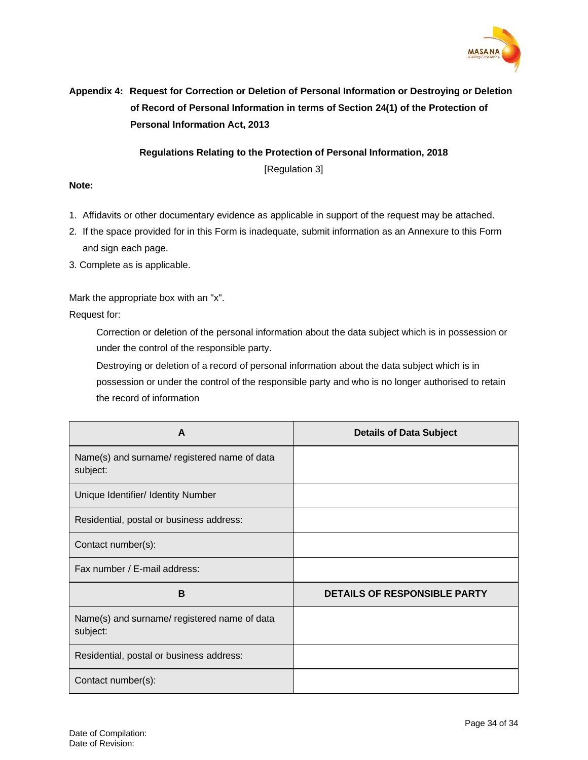

# <span id="page-33-0"></span>**Appendix 4: Request for Correction or Deletion of Personal Information or Destroying or Deletion of Record of Personal Information in terms of Section 24(1) of the Protection of Personal Information Act, 2013**

**Regulations Relating to the Protection of Personal Information, 2018**

[Regulation 3]

# **Note:**

- 1. Affidavits or other documentary evidence as applicable in support of the request may be attached.
- 2. If the space provided for in this Form is inadequate, submit information as an Annexure to this Form and sign each page.
- 3. Complete as is applicable.

Mark the appropriate box with an "x".

Request for:

Correction or deletion of the personal information about the data subject which is in possession or under the control of the responsible party.

Destroying or deletion of a record of personal information about the data subject which is in possession or under the control of the responsible party and who is no longer authorised to retain the record of information

| A                                                        | <b>Details of Data Subject</b>      |
|----------------------------------------------------------|-------------------------------------|
| Name(s) and surname/ registered name of data<br>subject: |                                     |
| Unique Identifier/ Identity Number                       |                                     |
| Residential, postal or business address:                 |                                     |
| Contact number(s):                                       |                                     |
| Fax number / E-mail address:                             |                                     |
| B                                                        | <b>DETAILS OF RESPONSIBLE PARTY</b> |
| Name(s) and surname/ registered name of data<br>subject: |                                     |
| Residential, postal or business address:                 |                                     |
| Contact number(s):                                       |                                     |